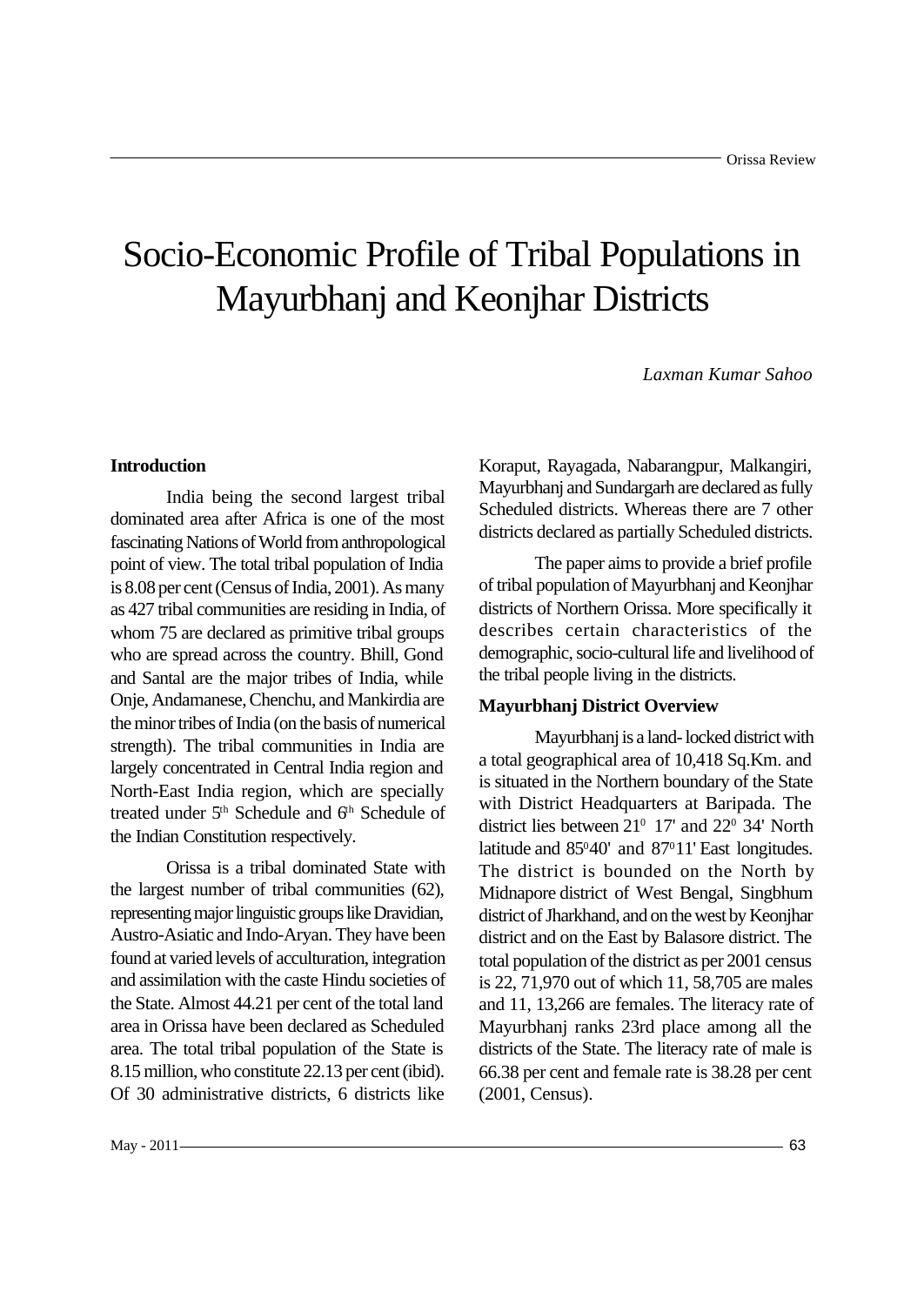# Socio-Economic Profile of Tribal Populations in Mayurbhanj and Keonjhar Districts

*Laxman Kumar Sahoo*

# **Introduction**

India being the second largest tribal dominated area after Africa is one of the most fascinating Nations of World from anthropological point of view. The total tribal population of India is 8.08 per cent (Census of India, 2001). As many as 427 tribal communities are residing in India, of whom 75 are declared as primitive tribal groups who are spread across the country. Bhill, Gond and Santal are the major tribes of India, while Onje, Andamanese, Chenchu, and Mankirdia are the minor tribes of India (on the basis of numerical strength). The tribal communities in India are largely concentrated in Central India region and North-East India region, which are specially treated under  $5<sup>th</sup>$  Schedule and  $6<sup>th</sup>$  Schedule of the Indian Constitution respectively.

Orissa is a tribal dominated State with the largest number of tribal communities (62), representing major linguistic groups like Dravidian, Austro-Asiatic and Indo-Aryan. They have been found at varied levels of acculturation, integration and assimilation with the caste Hindu societies of the State. Almost 44.21 per cent of the total land area in Orissa have been declared as Scheduled area. The total tribal population of the State is 8.15 million, who constitute 22.13 per cent (ibid). Of 30 administrative districts, 6 districts like

Koraput, Rayagada, Nabarangpur, Malkangiri, Mayurbhanj and Sundargarh are declared as fully Scheduled districts. Whereas there are 7 other districts declared as partially Scheduled districts.

The paper aims to provide a brief profile of tribal population of Mayurbhanj and Keonjhar districts of Northern Orissa. More specifically it describes certain characteristics of the demographic, socio-cultural life and livelihood of the tribal people living in the districts.

## **Mayurbhanj District Overview**

Mayurbhanj is a land- locked district with a total geographical area of 10,418 Sq.Km. and is situated in the Northern boundary of the State with District Headquarters at Baripada. The district lies between 21<sup>0</sup> 17' and 22<sup>0</sup> 34' North latitude and 85<sup>0</sup>40' and 87<sup>0</sup>11' East longitudes. The district is bounded on the North by Midnapore district of West Bengal, Singbhum district of Jharkhand, and on the west by Keonjhar district and on the East by Balasore district. The total population of the district as per 2001 census is 22, 71,970 out of which 11, 58,705 are males and 11, 13,266 are females. The literacy rate of Mayurbhanj ranks 23rd place among all the districts of the State. The literacy rate of male is 66.38 per cent and female rate is 38.28 per cent (2001, Census).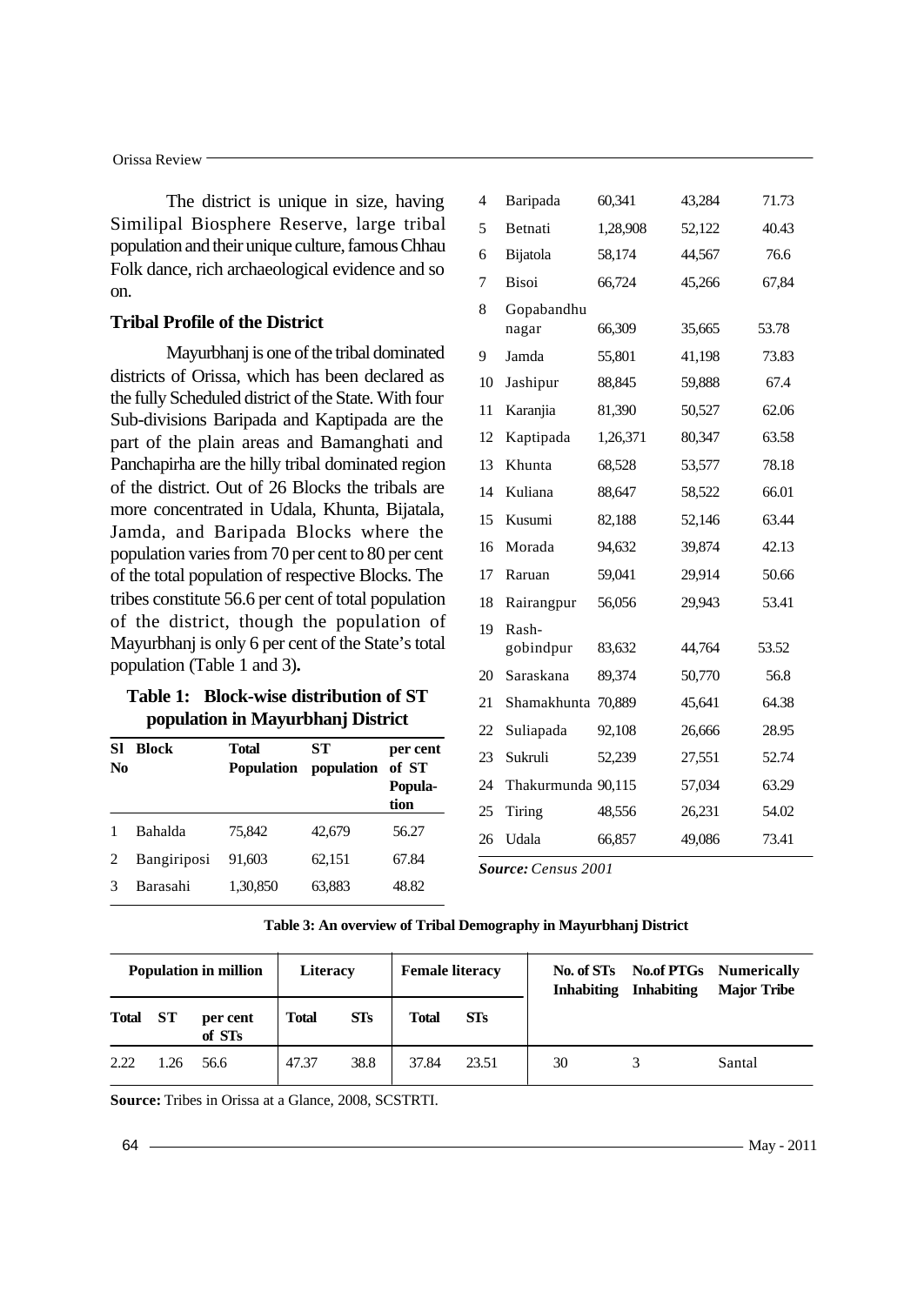### Orissa Review

The district is unique in size, having Similipal Biosphere Reserve, large tribal population and their unique culture, famous Chhau Folk dance, rich archaeological evidence and so on.

## **Tribal Profile of the District**

Mayurbhanj is one of the tribal dominated districts of Orissa, which has been declared as the fully Scheduled district of the State. With four Sub-divisions Baripada and Kaptipada are the part of the plain areas and Bamanghati and Panchapirha are the hilly tribal dominated region of the district. Out of 26 Blocks the tribals are more concentrated in Udala, Khunta, Bijatala, Jamda, and Baripada Blocks where the population varies from 70 per cent to 80 per cent of the total population of respective Blocks. The tribes constitute 56.6 per cent of total population of the district, though the population of Mayurbhanj is only 6 per cent of the State's total population (Table 1 and 3)**.**

## **Table 1: Block-wise distribution of ST population in Mayurbhanj District**

| SI<br>No | <b>Block</b> | Total<br><b>Population</b> | SТ<br>population | per cent<br>of ST<br>Popula-<br>tion |  |
|----------|--------------|----------------------------|------------------|--------------------------------------|--|
|          | Bahalda      | 75,842                     | 42,679           | 56.27                                |  |
| 2        | Bangiriposi  | 91,603                     | 62,151           | 67.84                                |  |
|          | Barasahi     | 1,30,850                   | 63,883           | 48.82                                |  |

| 4  | Baripada           | 60,341   | 43,284 | 71.73 |
|----|--------------------|----------|--------|-------|
| 5  | Betnati            | 1,28,908 | 52,122 | 40.43 |
| 6  | Bijatola           | 58,174   | 44,567 | 76.6  |
| 7  | <b>Bisoi</b>       | 66,724   | 45,266 | 67,84 |
| 8  | Gopabandhu         |          |        |       |
|    | nagar              | 66,309   | 35,665 | 53.78 |
| 9  | Jamda              | 55,801   | 41,198 | 73.83 |
| 10 | Jashipur           | 88,845   | 59,888 | 67.4  |
| 11 | Karanjia           | 81,390   | 50,527 | 62.06 |
| 12 | Kaptipada          | 1,26,371 | 80,347 | 63.58 |
| 13 | Khunta             | 68,528   | 53,577 | 78.18 |
| 14 | Kuliana            | 88,647   | 58,522 | 66.01 |
| 15 | Kusumi             | 82,188   | 52,146 | 63.44 |
| 16 | Morada             | 94,632   | 39,874 | 42.13 |
| 17 | Raruan             | 59,041   | 29,914 | 50.66 |
| 18 | Rairangpur         | 56,056   | 29,943 | 53.41 |
| 19 | Rash-              |          |        |       |
|    | gobindpur          | 83,632   | 44,764 | 53.52 |
| 20 | Saraskana          | 89,374   | 50,770 | 56.8  |
| 21 | Shamakhunta        | 70,889   | 45,641 | 64.38 |
| 22 | Suliapada          | 92,108   | 26,666 | 28.95 |
| 23 | Sukruli            | 52,239   | 27,551 | 52.74 |
| 24 | Thakurmunda 90,115 |          | 57,034 | 63.29 |
| 25 | Tiring             | 48,556   | 26,231 | 54.02 |
| 26 | Udala              | 66,857   | 49,086 | 73.41 |
|    |                    |          |        |       |

*Source: Census 2001*

#### **Table 3: An overview of Tribal Demography in Mayurbhanj District**

| <b>Population in million</b> |           | Literacy           |              | <b>Female literacy</b> |              | <b>Inhabiting</b> | <b>Inhabiting</b> | No. of STs No. of PTGs Numerically<br><b>Major Tribe</b> |        |
|------------------------------|-----------|--------------------|--------------|------------------------|--------------|-------------------|-------------------|----------------------------------------------------------|--------|
| <b>Total</b>                 | <b>ST</b> | per cent<br>of STs | <b>Total</b> | <b>STs</b>             | <b>Total</b> | STs               |                   |                                                          |        |
| 2.22                         | 1.26      | 56.6               | 47.37        | 38.8                   | 37.84        | 23.51             | 30                |                                                          | Santal |

**Source:** Tribes in Orissa at a Glance, 2008, SCSTRTI.

64

- May - 2011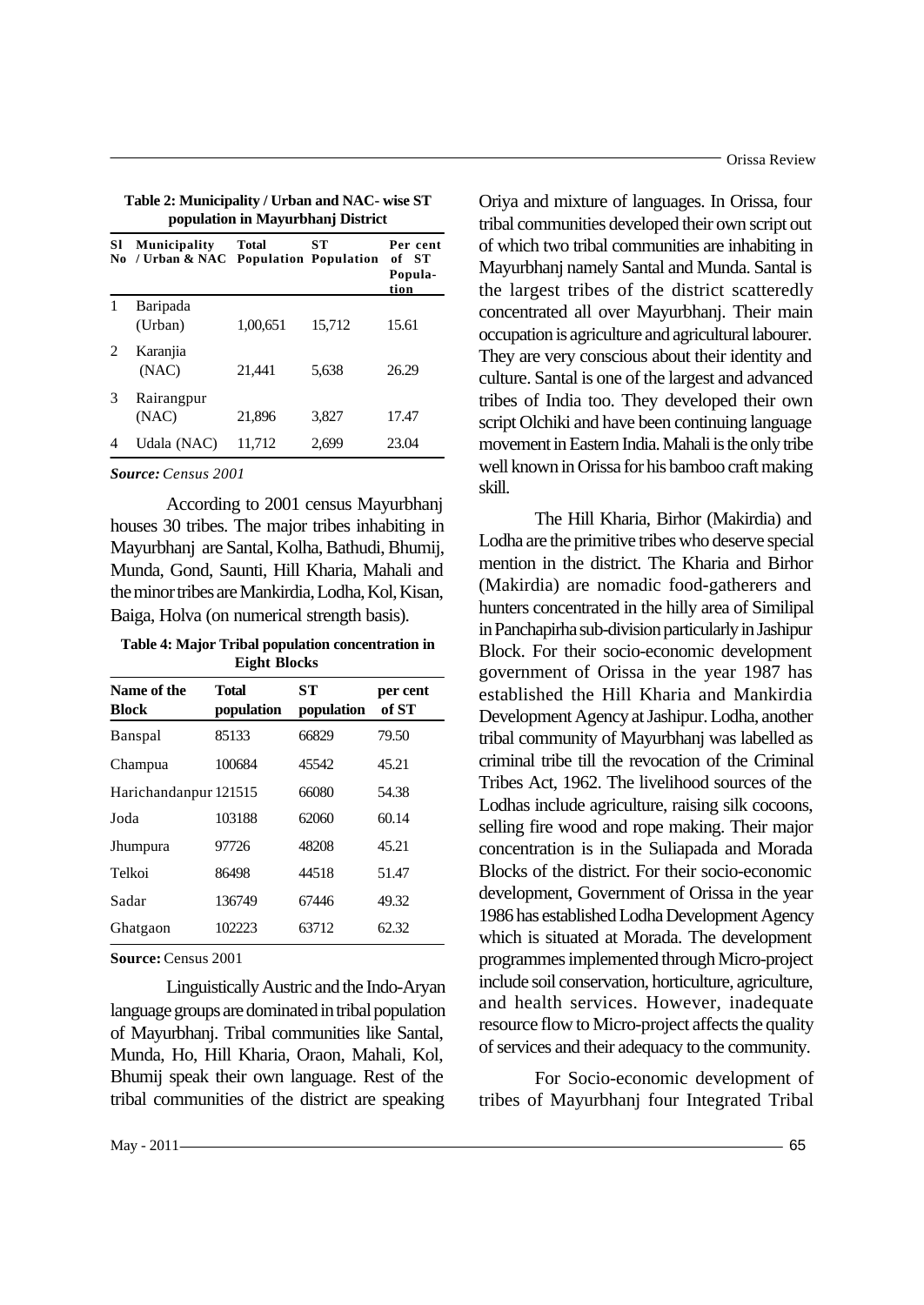| <b>S1</b><br>No | Municipality<br>/ Urban & NAC | <b>Total</b> | ST<br><b>Population Population</b> | Per cent<br>of ST<br>Popula-<br>tion |
|-----------------|-------------------------------|--------------|------------------------------------|--------------------------------------|
| 1               | Baripada<br>(Urban)           | 1,00,651     | 15,712                             | 15.61                                |
| 2               | Karanjia<br>(NAC)             | 21,441       | 5,638                              | 26.29                                |
| 3               | Rairangpur<br>(NAC)           | 21,896       | 3,827                              | 17.47                                |
| 4               | Udala (NAC)                   | 11,712       | 2,699                              | 23.04                                |

**Table 2: Municipality / Urban and NAC- wise ST population in Mayurbhanj District**

*Source: Census 2001*

According to 2001 census Mayurbhanj houses 30 tribes. The major tribes inhabiting in Mayurbhanj are Santal, Kolha, Bathudi, Bhumij, Munda, Gond, Saunti, Hill Kharia, Mahali and the minor tribes are Mankirdia, Lodha, Kol, Kisan, Baiga, Holva (on numerical strength basis).

**Table 4: Major Tribal population concentration in Eight Blocks**

| Name of the<br><b>Block</b> | Total<br>population | SТ<br>population | per cent<br>of ST |
|-----------------------------|---------------------|------------------|-------------------|
| Banspal                     | 85133               | 66829            | 79.50             |
| Champua                     | 100684              | 45542            | 45.21             |
| Harichandanpur 121515       |                     | 66080            | 54.38             |
| Joda                        | 103188              | 62060            | 60.14             |
| Jhumpura                    | 97726               | 48208            | 45.21             |
| Telkoi                      | 86498               | 44518            | 51.47             |
| Sadar                       | 136749              | 67446            | 49.32             |
| Ghatgaon                    | 102223              | 63712            | 62.32             |

**Source:** Census 2001

Linguistically Austric and the Indo-Aryan language groups are dominated in tribal population of Mayurbhanj. Tribal communities like Santal, Munda, Ho, Hill Kharia, Oraon, Mahali, Kol, Bhumij speak their own language. Rest of the tribal communities of the district are speaking

Oriya and mixture of languages. In Orissa, four tribal communities developed their own script out of which two tribal communities are inhabiting in Mayurbhanj namely Santal and Munda. Santal is the largest tribes of the district scatteredly concentrated all over Mayurbhanj. Their main occupation is agriculture and agricultural labourer. They are very conscious about their identity and culture. Santal is one of the largest and advanced tribes of India too. They developed their own script Olchiki and have been continuing language movement in Eastern India. Mahali is the only tribe well known in Orissa for his bamboo craft making skill.

The Hill Kharia, Birhor (Makirdia) and Lodha are the primitive tribes who deserve special mention in the district. The Kharia and Birhor (Makirdia) are nomadic food-gatherers and hunters concentrated in the hilly area of Similipal in Panchapirha sub-division particularly in Jashipur Block. For their socio-economic development government of Orissa in the year 1987 has established the Hill Kharia and Mankirdia Development Agency at Jashipur. Lodha, another tribal community of Mayurbhanj was labelled as criminal tribe till the revocation of the Criminal Tribes Act, 1962. The livelihood sources of the Lodhas include agriculture, raising silk cocoons, selling fire wood and rope making. Their major concentration is in the Suliapada and Morada Blocks of the district. For their socio-economic development, Government of Orissa in the year 1986 has established Lodha Development Agency which is situated at Morada. The development programmes implemented through Micro-project include soil conservation, horticulture, agriculture, and health services. However, inadequate resource flow to Micro-project affects the quality of services and their adequacy to the community.

For Socio-economic development of tribes of Mayurbhanj four Integrated Tribal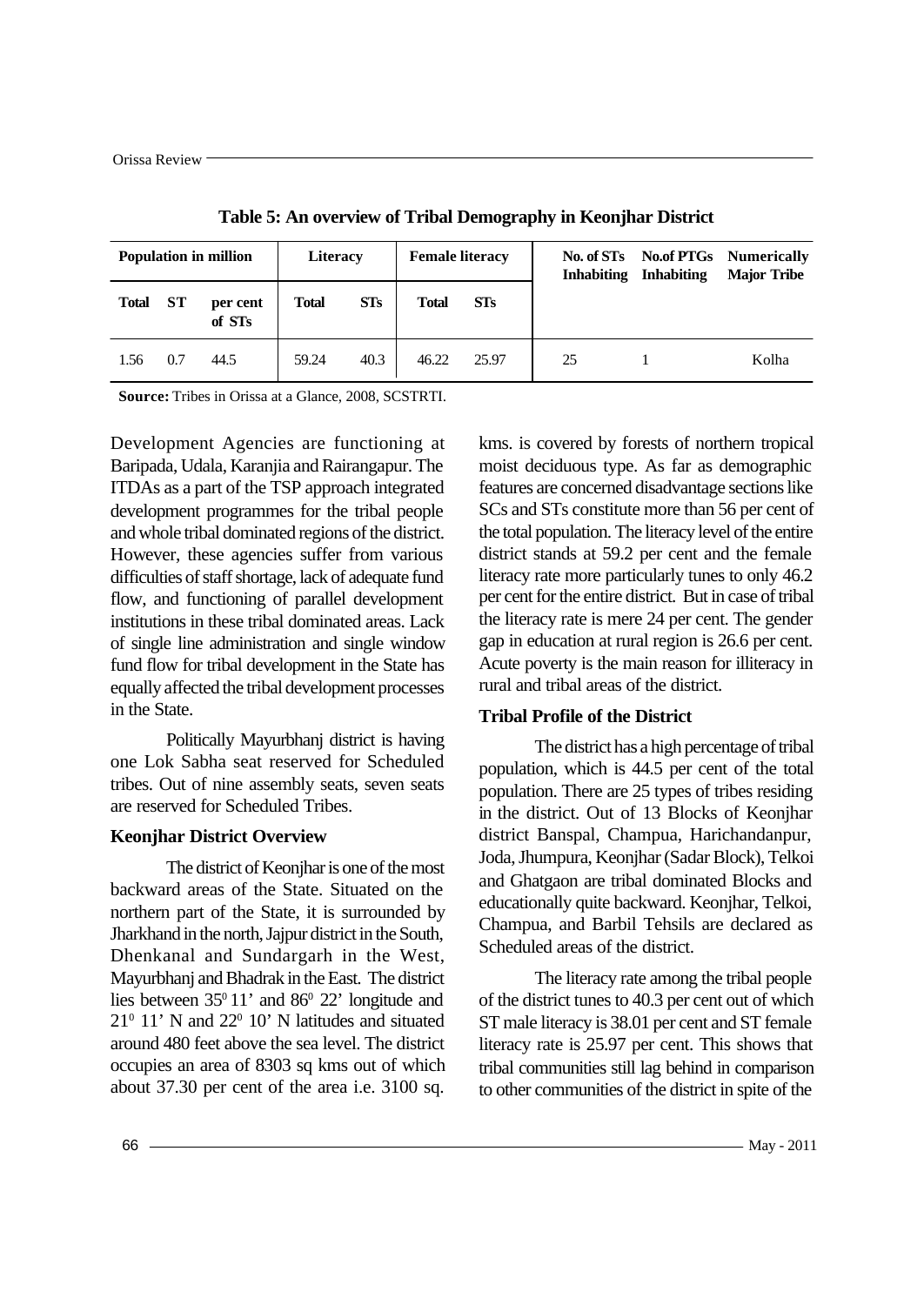| <b>Population in million</b> |     | <b>Literacy</b>    |              | <b>Female literacy</b> |              | No. of STs<br><b>Inhabiting</b> | <b>Inhabiting</b> | <b>No.of PTGs</b> Numerically<br><b>Major Tribe</b> |       |
|------------------------------|-----|--------------------|--------------|------------------------|--------------|---------------------------------|-------------------|-----------------------------------------------------|-------|
| <b>Total</b>                 | ST  | per cent<br>of STs | <b>Total</b> | STs                    | <b>Total</b> | <b>STs</b>                      |                   |                                                     |       |
| 1.56                         | 0.7 | 44.5               | 59.24        | 40.3                   | 46.22        | 25.97                           | 25                |                                                     | Kolha |

**Table 5: An overview of Tribal Demography in Keonjhar District**

**Source:** Tribes in Orissa at a Glance, 2008, SCSTRTI.

Development Agencies are functioning at Baripada, Udala, Karanjia and Rairangapur. The ITDAs as a part of the TSP approach integrated development programmes for the tribal people and whole tribal dominated regions of the district. However, these agencies suffer from various difficulties of staff shortage, lack of adequate fund flow, and functioning of parallel development institutions in these tribal dominated areas. Lack of single line administration and single window fund flow for tribal development in the State has equally affected the tribal development processes in the State.

Politically Mayurbhanj district is having one Lok Sabha seat reserved for Scheduled tribes. Out of nine assembly seats, seven seats are reserved for Scheduled Tribes.

# **Keonjhar District Overview**

The district of Keonjhar is one of the most backward areas of the State. Situated on the northern part of the State, it is surrounded by Jharkhand in the north, Jajpur district in the South, Dhenkanal and Sundargarh in the West, Mayurbhanj and Bhadrak in the East. The district lies between  $35^{\circ}11'$  and  $86^{\circ}22'$  longitude and  $21^{\circ}$  11' N and  $22^{\circ}$  10' N latitudes and situated around 480 feet above the sea level. The district occupies an area of 8303 sq kms out of which about 37.30 per cent of the area i.e. 3100 sq. kms. is covered by forests of northern tropical moist deciduous type. As far as demographic features are concerned disadvantage sections like SCs and STs constitute more than 56 per cent of the total population. The literacy level of the entire district stands at 59.2 per cent and the female literacy rate more particularly tunes to only 46.2 per cent for the entire district. But in case of tribal the literacy rate is mere 24 per cent. The gender gap in education at rural region is 26.6 per cent. Acute poverty is the main reason for illiteracy in rural and tribal areas of the district.

# **Tribal Profile of the District**

The district has a high percentage of tribal population, which is 44.5 per cent of the total population. There are 25 types of tribes residing in the district. Out of 13 Blocks of Keonjhar district Banspal, Champua, Harichandanpur, Joda, Jhumpura, Keonjhar (Sadar Block), Telkoi and Ghatgaon are tribal dominated Blocks and educationally quite backward. Keonjhar, Telkoi, Champua, and Barbil Tehsils are declared as Scheduled areas of the district.

The literacy rate among the tribal people of the district tunes to 40.3 per cent out of which ST male literacy is 38.01 per cent and ST female literacy rate is 25.97 per cent. This shows that tribal communities still lag behind in comparison to other communities of the district in spite of the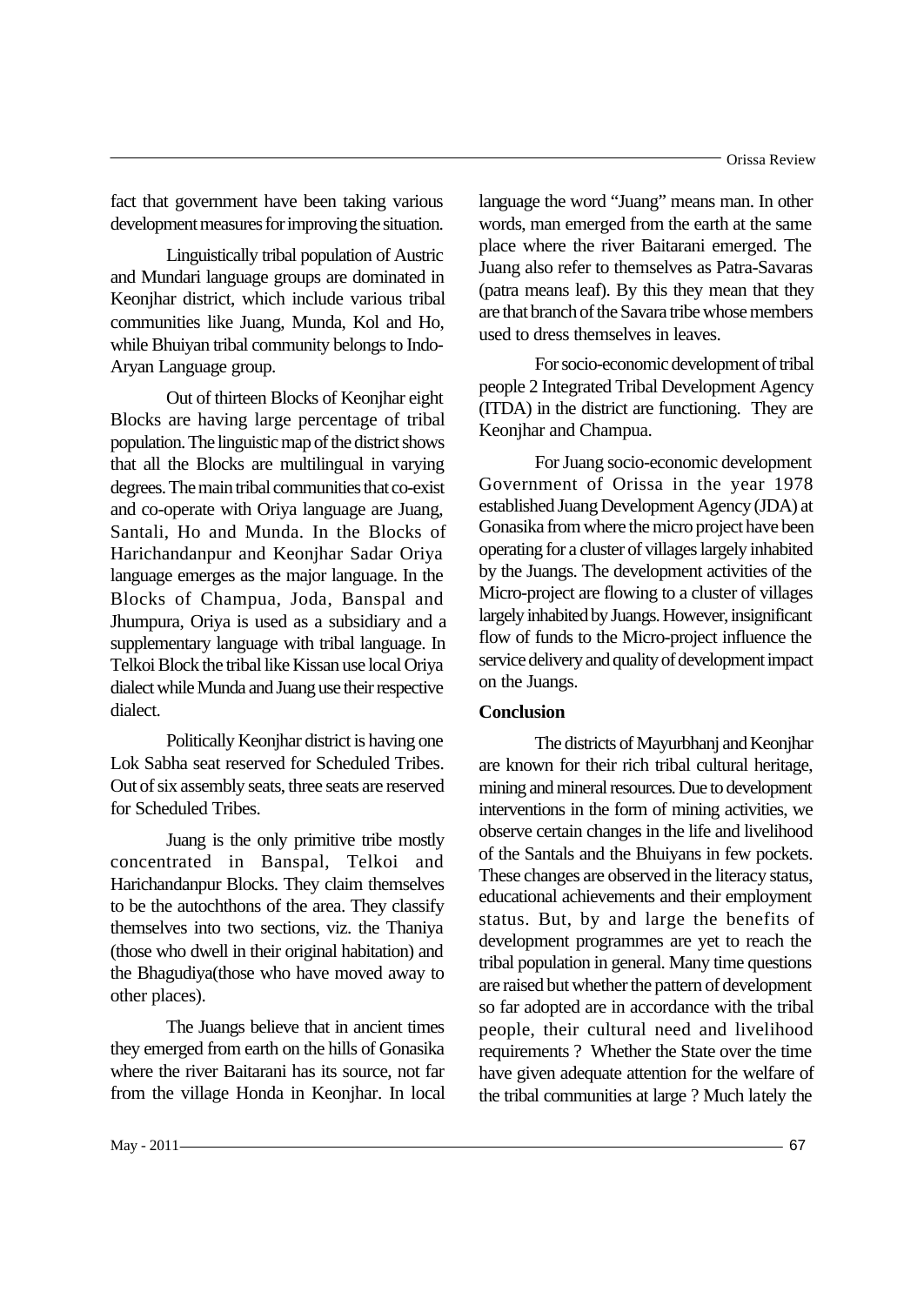fact that government have been taking various development measures for improving the situation.

Linguistically tribal population of Austric and Mundari language groups are dominated in Keonjhar district, which include various tribal communities like Juang, Munda, Kol and Ho, while Bhuiyan tribal community belongs to Indo-Aryan Language group.

Out of thirteen Blocks of Keonjhar eight Blocks are having large percentage of tribal population. The linguistic map of the district shows that all the Blocks are multilingual in varying degrees. The main tribal communities that co-exist and co-operate with Oriya language are Juang, Santali, Ho and Munda. In the Blocks of Harichandanpur and Keonjhar Sadar Oriya language emerges as the major language. In the Blocks of Champua, Joda, Banspal and Jhumpura, Oriya is used as a subsidiary and a supplementary language with tribal language. In Telkoi Block the tribal like Kissan use local Oriya dialect while Munda and Juang use their respective dialect.

Politically Keonjhar district is having one Lok Sabha seat reserved for Scheduled Tribes. Out of six assembly seats, three seats are reserved for Scheduled Tribes.

Juang is the only primitive tribe mostly concentrated in Banspal, Telkoi and Harichandanpur Blocks. They claim themselves to be the autochthons of the area. They classify themselves into two sections, viz. the Thaniya (those who dwell in their original habitation) and the Bhagudiya(those who have moved away to other places).

The Juangs believe that in ancient times they emerged from earth on the hills of Gonasika where the river Baitarani has its source, not far from the village Honda in Keonjhar. In local language the word "Juang" means man. In other words, man emerged from the earth at the same place where the river Baitarani emerged. The Juang also refer to themselves as Patra-Savaras (patra means leaf). By this they mean that they are that branch of the Savara tribe whose members used to dress themselves in leaves.

For socio-economic development of tribal people 2 Integrated Tribal Development Agency (ITDA) in the district are functioning. They are Keonjhar and Champua.

For Juang socio-economic development Government of Orissa in the year 1978 established Juang Development Agency (JDA) at Gonasika from where the micro project have been operating for a cluster of villages largely inhabited by the Juangs. The development activities of the Micro-project are flowing to a cluster of villages largely inhabited by Juangs. However, insignificant flow of funds to the Micro-project influence the service delivery and quality of development impact on the Juangs.

## **Conclusion**

The districts of Mayurbhanj and Keonjhar are known for their rich tribal cultural heritage, mining and mineral resources. Due to development interventions in the form of mining activities, we observe certain changes in the life and livelihood of the Santals and the Bhuiyans in few pockets. These changes are observed in the literacy status, educational achievements and their employment status. But, by and large the benefits of development programmes are yet to reach the tribal population in general. Many time questions are raised but whether the pattern of development so far adopted are in accordance with the tribal people, their cultural need and livelihood requirements ? Whether the State over the time have given adequate attention for the welfare of the tribal communities at large ? Much lately the